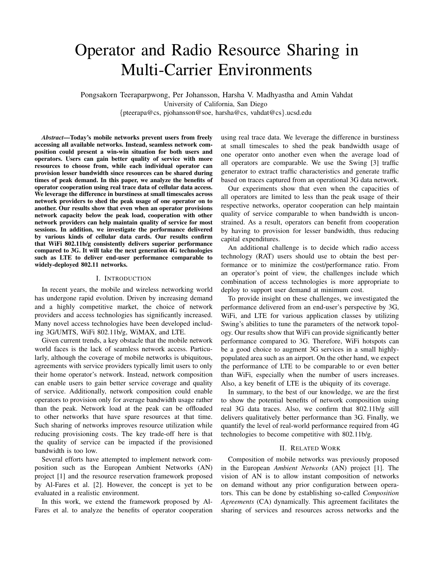# Operator and Radio Resource Sharing in Multi-Carrier Environments

Pongsakorn Teeraparpwong, Per Johansson, Harsha V. Madhyastha and Amin Vahdat University of California, San Diego {pteerapa@cs, pjohansson@soe, harsha@cs, vahdat@cs}.ucsd.edu

*Abstract*—Today's mobile networks prevent users from freely accessing all available networks. Instead, seamless network composition could present a win-win situation for both users and operators. Users can gain better quality of service with more resources to choose from, while each individual operator can provision lesser bandwidth since resources can be shared during times of peak demand. In this paper, we analyze the benefits of operator cooperation using real trace data of cellular data access. We leverage the difference in burstiness at small timescales across network providers to shed the peak usage of one operator on to another. Our results show that even when an operator provisions network capacity below the peak load, cooperation with other network providers can help maintain quality of service for most sessions. In addition, we investigate the performance delivered by various kinds of cellular data cards. Our results confirm that WiFi 802.11b/g consistently delivers superior performance compared to 3G. It will take the next generation 4G technologies such as LTE to deliver end-user performance comparable to widely-deployed 802.11 networks.

#### I. INTRODUCTION

In recent years, the mobile and wireless networking world has undergone rapid evolution. Driven by increasing demand and a highly competitive market, the choice of network providers and access technologies has significantly increased. Many novel access technologies have been developed including 3G/UMTS, WiFi 802.11b/g, WiMAX, and LTE.

Given current trends, a key obstacle that the mobile network world faces is the lack of seamless network access. Particularly, although the coverage of mobile networks is ubiquitous, agreements with service providers typically limit users to only their home operator's network. Instead, network composition can enable users to gain better service coverage and quality of service. Additionally, network composition could enable operators to provision only for average bandwidth usage rather than the peak. Network load at the peak can be offloaded to other networks that have spare resources at that time. Such sharing of networks improves resource utilization while reducing provisioning costs. The key trade-off here is that the quality of service can be impacted if the provisioned bandwidth is too low.

Several efforts have attempted to implement network composition such as the European Ambient Networks (AN) project [1] and the resource reservation framework proposed by Al-Fares et al. [2]. However, the concept is yet to be evaluated in a realistic environment.

In this work, we extend the framework proposed by Al-Fares et al. to analyze the benefits of operator cooperation using real trace data. We leverage the difference in burstiness at small timescales to shed the peak bandwidth usage of one operator onto another even when the average load of all operators are comparable. We use the Swing [3] traffic generator to extract traffic characteristics and generate traffic based on traces captured from an operational 3G data network.

Our experiments show that even when the capacities of all operators are limited to less than the peak usage of their respective networks, operator cooperation can help maintain quality of service comparable to when bandwidth is unconstrained. As a result, operators can benefit from cooperation by having to provision for lesser bandwidth, thus reducing capital expenditures.

An additional challenge is to decide which radio access technology (RAT) users should use to obtain the best performance or to minimize the cost/performance ratio. From an operator's point of view, the challenges include which combination of access technologies is more appropriate to deploy to support user demand at minimum cost.

To provide insight on these challenges, we investigated the performance delivered from an end-user's perspective by 3G, WiFi, and LTE for various application classes by utilizing Swing's abilities to tune the parameters of the network topology. Our results show that WiFi can provide significantly better performance compared to 3G. Therefore, WiFi hotspots can be a good choice to augment 3G services in a small highlypopulated area such as an airport. On the other hand, we expect the performance of LTE to be comparable to or even better than WiFi, especially when the number of users increases. Also, a key benefit of LTE is the ubiquity of its coverage.

In summary, to the best of our knowledge, we are the first to show the potential benefits of network composition using real 3G data traces. Also, we confirm that 802.11b/g still delivers qualitatively better performance than 3G. Finally, we quantify the level of real-world performance required from 4G technologies to become competitive with 802.11b/g.

#### II. RELATED WORK

Composition of mobile networks was previously proposed in the European *Ambient Networks* (AN) project [1]. The vision of AN is to allow instant composition of networks on demand without any prior configuration between operators. This can be done by establishing so-called *Composition Agreements* (CA) dynamically. This agreement facilitates the sharing of services and resources across networks and the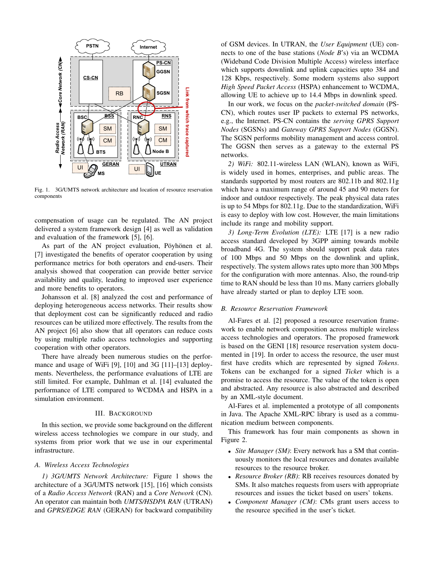

Fig. 1. 3G/UMTS network architecture and location of resource reservation components

compensation of usage can be regulated. The AN project delivered a system framework design [4] as well as validation and evaluation of the framework [5], [6].

As part of the AN project evaluation, Pöyhönen et al. [7] investigated the benefits of operator cooperation by using performance metrics for both operators and end-users. Their analysis showed that cooperation can provide better service availability and quality, leading to improved user experience and more benefits to operators.

Johansson et al. [8] analyzed the cost and performance of deploying heterogeneous access networks. Their results show that deployment cost can be significantly reduced and radio resources can be utilized more effectively. The results from the AN project [6] also show that all operators can reduce costs by using multiple radio access technologies and supporting cooperation with other operators.

There have already been numerous studies on the performance and usage of WiFi [9], [10] and 3G [11]–[13] deployments. Nevertheless, the performance evaluations of LTE are still limited. For example, Dahlman et al. [14] evaluated the performance of LTE compared to WCDMA and HSPA in a simulation environment.

## III. BACKGROUND

In this section, we provide some background on the different wireless access technologies we compare in our study, and systems from prior work that we use in our experimental infrastructure.

### *A. Wireless Access Technologies*

*1) 3G/UMTS Network Architecture:* Figure 1 shows the architecture of a 3G/UMTS network [15], [16] which consists of a *Radio Access Network* (RAN) and a *Core Network* (CN). An operator can maintain both *UMTS/HSDPA RAN* (UTRAN) and *GPRS/EDGE RAN* (GERAN) for backward compatibility of GSM devices. In UTRAN, the *User Equipment* (UE) connects to one of the base stations (*Node B*'s) via an WCDMA (Wideband Code Division Multiple Access) wireless interface which supports downlink and uplink capacities upto 384 and 128 Kbps, respectively. Some modern systems also support *High Speed Packet Access* (HSPA) enhancement to WCDMA, allowing UE to achieve up to 14.4 Mbps in downlink speed.

In our work, we focus on the *packet-switched domain* (PS-CN), which routes user IP packets to external PS networks, e.g., the Internet. PS-CN contains the *serving GPRS Support Nodes* (SGSNs) and *Gateway GPRS Support Nodes* (GGSN). The SGSN performs mobility management and access control. The GGSN then serves as a gateway to the external PS networks.

*2) WiFi:* 802.11-wireless LAN (WLAN), known as WiFi, is widely used in homes, enterprises, and public areas. The standards supported by most routers are 802.11b and 802.11g which have a maximum range of around 45 and 90 meters for indoor and outdoor respectively. The peak physical data rates is up to 54 Mbps for 802.11g. Due to the standardization, WiFi is easy to deploy with low cost. However, the main limitations include its range and mobility support.

*3) Long-Term Evolution (LTE):* LTE [17] is a new radio access standard developed by 3GPP aiming towards mobile broadband 4G. The system should support peak data rates of 100 Mbps and 50 Mbps on the downlink and uplink, respectively. The system allows rates upto more than 300 Mbps for the configuration with more antennas. Also, the round-trip time to RAN should be less than 10 ms. Many carriers globally have already started or plan to deploy LTE soon.

# *B. Resource Reservation Framework*

Al-Fares et al. [2] proposed a resource reservation framework to enable network composition across multiple wireless access technologies and operators. The proposed framework is based on the GENI [18] resource reservation system documented in [19]. In order to access the resource, the user must first have credits which are represented by signed *Tokens*. Tokens can be exchanged for a signed *Ticket* which is a promise to access the resource. The value of the token is open and abstracted. Any resource is also abstracted and described by an XML-style document.

Al-Fares et al. implemented a prototype of all components in Java. The Apache XML-RPC library is used as a communication medium between components.

This framework has four main components as shown in Figure 2.

- *Site Manager (SM)*: Every network has a SM that continuously monitors the local resources and donates available resources to the resource broker.
- *Resource Broker (RB)*: RB receives resources donated by SMs. It also matches requests from users with appropriate resources and issues the ticket based on users' tokens.
- *Component Manager (CM)*: CMs grant users access to the resource specified in the user's ticket.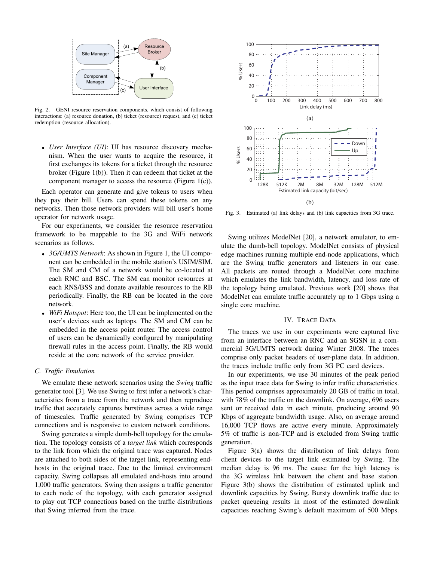

Fig. 2. GENI resource reservation components, which consist of following interactions: (a) resource donation, (b) ticket (resource) request, and (c) ticket redemption (resource allocation).

• *User Interface (UI)*: UI has resource discovery mechanism. When the user wants to acquire the resource, it first exchanges its tokens for a ticket through the resource broker (Figure 1(b)). Then it can redeem that ticket at the component manager to access the resource (Figure  $1(c)$ ).

Each operator can generate and give tokens to users when they pay their bill. Users can spend these tokens on any networks. Then those network providers will bill user's home operator for network usage.

For our experiments, we consider the resource reservation framework to be mappable to the 3G and WiFi network scenarios as follows.

- *3G/UMTS Network*: As shown in Figure 1, the UI component can be embedded in the mobile station's USIM/SIM. The SM and CM of a network would be co-located at each RNC and BSC. The SM can monitor resources at each RNS/BSS and donate available resources to the RB periodically. Finally, the RB can be located in the core network.
- *WiFi Hotspot*: Here too, the UI can be implemented on the user's devices such as laptops. The SM and CM can be embedded in the access point router. The access control of users can be dynamically configured by manipulating firewall rules in the access point. Finally, the RB would reside at the core network of the service provider.

# *C. Traffic Emulation*

We emulate these network scenarios using the *Swing* traffic generator tool [3]. We use Swing to first infer a network's characteristics from a trace from the network and then reproduce traffic that accurately captures burstiness across a wide range of timescales. Traffic generated by Swing comprises TCP connections and is responsive to custom network conditions.

Swing generates a simple dumb-bell topology for the emulation. The topology consists of a *target link* which corresponds to the link from which the original trace was captured. Nodes are attached to both sides of the target link, representing endhosts in the original trace. Due to the limited environment capacity, Swing collapses all emulated end-hosts into around 1,000 traffic generators. Swing then assigns a traffic generator to each node of the topology, with each generator assigned to play out TCP connections based on the traffic distributions that Swing inferred from the trace.



Fig. 3. Estimated (a) link delays and (b) link capacities from 3G trace.

Swing utilizes ModelNet [20], a network emulator, to emulate the dumb-bell topology. ModelNet consists of physical edge machines running multiple end-node applications, which are the Swing traffic generators and listeners in our case. All packets are routed through a ModelNet core machine which emulates the link bandwidth, latency, and loss rate of the topology being emulated. Previous work [20] shows that ModelNet can emulate traffic accurately up to 1 Gbps using a single core machine.

## IV. TRACE DATA

The traces we use in our experiments were captured live from an interface between an RNC and an SGSN in a commercial 3G/UMTS network during Winter 2008. The traces comprise only packet headers of user-plane data. In addition, the traces include traffic only from 3G PC card devices.

In our experiments, we use 30 minutes of the peak period as the input trace data for Swing to infer traffic characteristics. This period comprises approximately 20 GB of traffic in total, with 78% of the traffic on the downlink. On average, 696 users sent or received data in each minute, producing around 90 Kbps of aggregate bandwidth usage. Also, on average around 16,000 TCP flows are active every minute. Approximately 5% of traffic is non-TCP and is excluded from Swing traffic generation.

Figure 3(a) shows the distribution of link delays from client devices to the target link estimated by Swing. The median delay is 96 ms. The cause for the high latency is the 3G wireless link between the client and base station. Figure 3(b) shows the distribution of estimated uplink and downlink capacities by Swing. Bursty downlink traffic due to packet queueing results in most of the estimated downlink capacities reaching Swing's default maximum of 500 Mbps.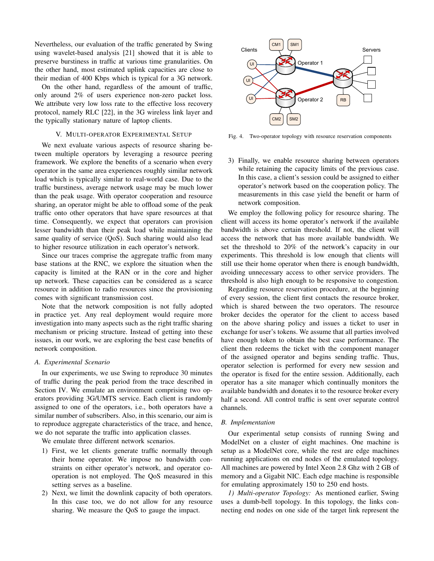Nevertheless, our evaluation of the traffic generated by Swing using wavelet-based analysis [21] showed that it is able to preserve burstiness in traffic at various time granularities. On the other hand, most estimated uplink capacities are close to their median of 400 Kbps which is typical for a 3G network.

On the other hand, regardless of the amount of traffic, only around 2% of users experience non-zero packet loss. We attribute very low loss rate to the effective loss recovery protocol, namely RLC [22], in the 3G wireless link layer and the typically stationary nature of laptop clients.

## V. MULTI-OPERATOR EXPERIMENTAL SETUP

We next evaluate various aspects of resource sharing between multiple operators by leveraging a resource peering framework. We explore the benefits of a scenario when every operator in the same area experiences roughly similar network load which is typically similar to real-world case. Due to the traffic burstiness, average network usage may be much lower than the peak usage. With operator cooperation and resource sharing, an operator might be able to offload some of the peak traffic onto other operators that have spare resources at that time. Consequently, we expect that operators can provision lesser bandwidth than their peak load while maintaining the same quality of service (QoS). Such sharing would also lead to higher resource utilization in each operator's network.

Since our traces comprise the aggregate traffic from many base stations at the RNC, we explore the situation when the capacity is limited at the RAN or in the core and higher up network. These capacities can be considered as a scarce resource in addition to radio resources since the provisioning comes with significant transmission cost.

Note that the network composition is not fully adopted in practice yet. Any real deployment would require more investigation into many aspects such as the right traffic sharing mechanism or pricing structure. Instead of getting into these issues, in our work, we are exploring the best case benefits of network composition.

## *A. Experimental Scenario*

In our experiments, we use Swing to reproduce 30 minutes of traffic during the peak period from the trace described in Section IV. We emulate an environment comprising two operators providing 3G/UMTS service. Each client is randomly assigned to one of the operators, i.e., both operators have a similar number of subscribers. Also, in this scenario, our aim is to reproduce aggregate characteristics of the trace, and hence, we do not separate the traffic into application classes.

We emulate three different network scenarios.

- 1) First, we let clients generate traffic normally through their home operator. We impose no bandwidth constraints on either operator's network, and operator cooperation is not employed. The QoS measured in this setting serves as a baseline.
- 2) Next, we limit the downlink capacity of both operators. In this case too, we do not allow for any resource sharing. We measure the QoS to gauge the impact.



Fig. 4. Two-operator topology with resource reservation components

3) Finally, we enable resource sharing between operators while retaining the capacity limits of the previous case. In this case, a client's session could be assigned to either operator's network based on the cooperation policy. The measurements in this case yield the benefit or harm of network composition.

We employ the following policy for resource sharing. The client will access its home operator's network if the available bandwidth is above certain threshold. If not, the client will access the network that has more available bandwidth. We set the threshold to 20% of the network's capacity in our experiments. This threshold is low enough that clients will still use their home operator when there is enough bandwidth, avoiding unnecessary access to other service providers. The threshold is also high enough to be responsive to congestion.

Regarding resource reservation procedure, at the beginning of every session, the client first contacts the resource broker, which is shared between the two operators. The resource broker decides the operator for the client to access based on the above sharing policy and issues a ticket to user in exchange for user's tokens. We assume that all parties involved have enough token to obtain the best case performance. The client then redeems the ticket with the component manager of the assigned operator and begins sending traffic. Thus, operator selection is performed for every new session and the operator is fixed for the entire session. Additionally, each operator has a site manager which continually monitors the available bandwidth and donates it to the resource broker every half a second. All control traffic is sent over separate control channels.

### *B. Implementation*

Our experimental setup consists of running Swing and ModelNet on a cluster of eight machines. One machine is setup as a ModelNet core, while the rest are edge machines running applications on end nodes of the emulated topology. All machines are powered by Intel Xeon 2.8 Ghz with 2 GB of memory and a Gigabit NIC. Each edge machine is responsible for emulating approximately 150 to 250 end hosts.

*1) Multi-operator Topology:* As mentioned earlier, Swing uses a dumb-bell topology. In this topology, the links connecting end nodes on one side of the target link represent the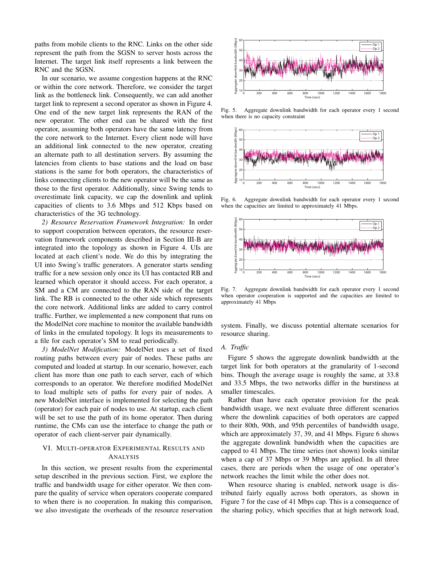paths from mobile clients to the RNC. Links on the other side represent the path from the SGSN to server hosts across the Internet. The target link itself represents a link between the RNC and the SGSN.

In our scenario, we assume congestion happens at the RNC or within the core network. Therefore, we consider the target link as the bottleneck link. Consequently, we can add another target link to represent a second operator as shown in Figure 4. One end of the new target link represents the RAN of the new operator. The other end can be shared with the first operator, assuming both operators have the same latency from the core network to the Internet. Every client node will have an additional link connected to the new operator, creating an alternate path to all destination servers. By assuming the latencies from clients to base stations and the load on base stations is the same for both operators, the characteristics of links connecting clients to the new operator will be the same as those to the first operator. Additionally, since Swing tends to overestimate link capacity, we cap the downlink and uplink capacities of clients to 3.6 Mbps and 512 Kbps based on characteristics of the 3G technology.

*2) Resource Reservation Framework Integration:* In order to support cooperation between operators, the resource reservation framework components described in Section III-B are integrated into the topology as shown in Figure 4. UIs are located at each client's node. We do this by integrating the UI into Swing's traffic generators. A generator starts sending traffic for a new session only once its UI has contacted RB and learned which operator it should access. For each operator, a SM and a CM are connected to the RAN side of the target link. The RB is connected to the other side which represents the core network. Additional links are added to carry control traffic. Further, we implemented a new component that runs on the ModelNet core machine to monitor the available bandwidth of links in the emulated topology. It logs its measurements to a file for each operator's SM to read periodically.

*3) ModelNet Modification:* ModelNet uses a set of fixed routing paths between every pair of nodes. These paths are computed and loaded at startup. In our scenario, however, each client has more than one path to each server, each of which corresponds to an operator. We therefore modified ModelNet to load multiple sets of paths for every pair of nodes. A new ModelNet interface is implemented for selecting the path (operator) for each pair of nodes to use. At startup, each client will be set to use the path of its home operator. Then during runtime, the CMs can use the interface to change the path or operator of each client-server pair dynamically.

# VI. MULTI-OPERATOR EXPERIMENTAL RESULTS AND **ANALYSIS**

In this section, we present results from the experimental setup described in the previous section. First, we explore the traffic and bandwidth usage for either operator. We then compare the quality of service when operators cooperate compared to when there is no cooperation. In making this comparison, we also investigate the overheads of the resource reservation



Fig. 5. Aggregate downlink bandwidth for each operator every 1 second when there is no capacity constraint



Fig. 6. Aggregate downlink bandwidth for each operator every 1 second when the capacities are limited to approximately 41 Mbps.



Fig. 7. Aggregate downlink bandwidth for each operator every 1 second when operator cooperation is supported and the capacities are limited to approximately 41 Mbps

system. Finally, we discuss potential alternate scenarios for resource sharing.

## *A. Traffic*

Figure 5 shows the aggregate downlink bandwidth at the target link for both operators at the granularity of 1-second bins. Though the average usage is roughly the same, at 33.8 and 33.5 Mbps, the two networks differ in the burstiness at smaller timescales.

Rather than have each operator provision for the peak bandwidth usage, we next evaluate three different scenarios where the downlink capacities of both operators are capped to their 80th, 90th, and 95th percentiles of bandwidth usage, which are approximately 37, 39, and 41 Mbps. Figure 6 shows the aggregate downlink bandwidth when the capacities are capped to 41 Mbps. The time series (not shown) looks similar when a cap of 37 Mbps or 39 Mbps are applied. In all three cases, there are periods when the usage of one operator's network reaches the limit while the other does not.

When resource sharing is enabled, network usage is distributed fairly equally across both operators, as shown in Figure 7 for the case of 41 Mbps cap. This is a consequence of the sharing policy, which specifies that at high network load,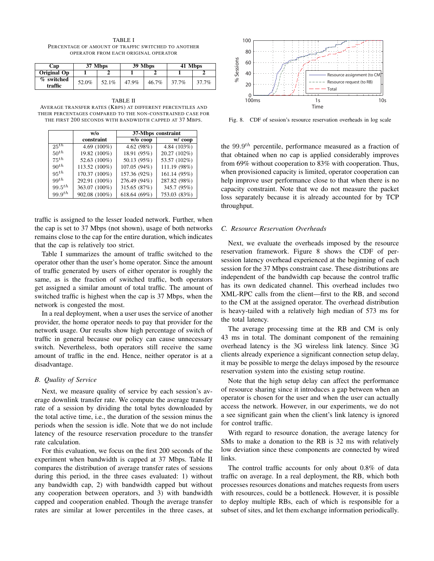TABLE I PERCENTAGE OF AMOUNT OF TRAFFIC SWITCHED TO ANOTHER OPERATOR FROM EACH ORIGINAL OPERATOR

| Cap                   | 37 Mbps |       |       | 39 Mbps | 41 Mbps |       |  |
|-----------------------|---------|-------|-------|---------|---------|-------|--|
| Original Op           |         |       |       |         |         |       |  |
| % switched<br>traffic | 52.0%   | 52.1% | 47.9% | 46.7%   | 37.7%   | 37.7% |  |

TABLE II AVERAGE TRANSFER RATES (KBPS) AT DIFFERENT PERCENTILES AND THEIR PERCENTAGES COMPARED TO THE NON-CONSTRAINED CASE FOR THE FIRST 200 SECONDS WITH BANDWIDTH CAPPED AT 37 MBPS.

|                    | w/o           | 37-Mbps constraint |              |  |  |  |
|--------------------|---------------|--------------------|--------------|--|--|--|
|                    | constraint    | $w/o$ coop         | $W / \cos p$ |  |  |  |
| $25^{th}$          | 4.69 (100%)   | 4.62 (98%)         | 4.84 (103%)  |  |  |  |
| $50^{th}$          | 19.82 (100%)  | 18.91 (95%)        | 20.27 (102%) |  |  |  |
| $75$ <sup>th</sup> | 52.63 (100%)  | 50.13 (95%)        | 53.57 (102%) |  |  |  |
| $90^{th}$          | 113.52 (100%) | 107.05 (94%)       | 111.19 (98%) |  |  |  |
| 95 <sup>th</sup>   | 170.37 (100%) | 157.36 (92%)       | 161.14 (95%) |  |  |  |
| $99^{th}$          | 292.91 (100%) | 276.49 (94%)       | 287.82 (98%) |  |  |  |
| $99.5^{th}$        | 363.07 (100%) | 315.65 (87%)       | 345.7 (95%)  |  |  |  |
| $99.9^{th}$        | 902.08 (100%) | 618.64 (69%)       | 753.03 (83%) |  |  |  |

traffic is assigned to the lesser loaded network. Further, when the cap is set to 37 Mbps (not shown), usage of both networks remains close to the cap for the entire duration, which indicates that the cap is relatively too strict.

Table I summarizes the amount of traffic switched to the operator other than the user's home operator. Since the amount of traffic generated by users of either operator is roughly the same, as is the fraction of switched traffic, both operators get assigned a similar amount of total traffic. The amount of switched traffic is highest when the cap is 37 Mbps, when the network is congested the most.

In a real deployment, when a user uses the service of another provider, the home operator needs to pay that provider for the network usage. Our results show high percentage of switch of traffic in general because our policy can cause unnecessary switch. Nevertheless, both operators still receive the same amount of traffic in the end. Hence, neither operator is at a disadvantage.

## *B. Quality of Service*

Next, we measure quality of service by each session's average downlink transfer rate. We compute the average transfer rate of a session by dividing the total bytes downloaded by the total active time, i.e., the duration of the session minus the periods when the session is idle. Note that we do not include latency of the resource reservation procedure to the transfer rate calculation.

For this evaluation, we focus on the first 200 seconds of the experiment when bandwidth is capped at 37 Mbps. Table II compares the distribution of average transfer rates of sessions during this period, in the three cases evaluated: 1) without any bandwidth cap, 2) with bandwidth capped but without any cooperation between operators, and 3) with bandwidth capped and cooperation enabled. Though the average transfer rates are similar at lower percentiles in the three cases, at



Fig. 8. CDF of session's resource reservation overheads in log scale

the  $99.9<sup>th</sup>$  percentile, performance measured as a fraction of that obtained when no cap is applied considerably improves from 69% without cooperation to 83% with cooperation. Thus, when provisioned capacity is limited, operator cooperation can help improve user performance close to that when there is no capacity constraint. Note that we do not measure the packet loss separately because it is already accounted for by TCP throughput.

## *C. Resource Reservation Overheads*

Next, we evaluate the overheads imposed by the resource reservation framework. Figure 8 shows the CDF of persession latency overhead experienced at the beginning of each session for the 37 Mbps constraint case. These distributions are independent of the bandwidth cap because the control traffic has its own dedicated channel. This overhead includes two XML-RPC calls from the client—first to the RB, and second to the CM at the assigned operator. The overhead distribution is heavy-tailed with a relatively high median of 573 ms for the total latency.

The average processing time at the RB and CM is only 43 ms in total. The dominant component of the remaining overhead latency is the 3G wireless link latency. Since 3G clients already experience a significant connection setup delay, it may be possible to merge the delays imposed by the resource reservation system into the existing setup routine.

Note that the high setup delay can affect the performance of resource sharing since it introduces a gap between when an operator is chosen for the user and when the user can actually access the network. However, in our experiments, we do not a see significant gain when the client's link latency is ignored for control traffic.

With regard to resource donation, the average latency for SMs to make a donation to the RB is 32 ms with relatively low deviation since these components are connected by wired links.

The control traffic accounts for only about 0.8% of data traffic on average. In a real deployment, the RB, which both processes resources donations and matches requests from users with resources, could be a bottleneck. However, it is possible to deploy multiple RBs, each of which is responsible for a subset of sites, and let them exchange information periodically.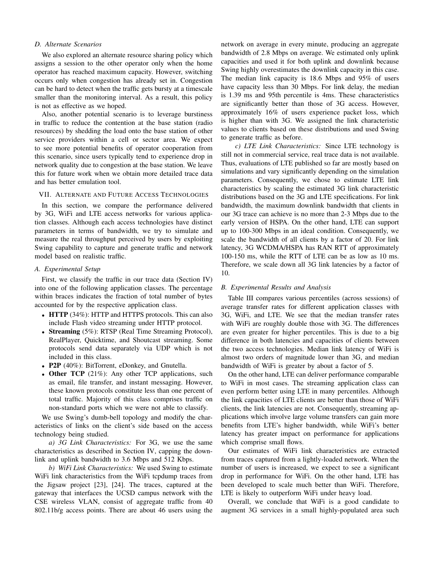## *D. Alternate Scenarios*

We also explored an alternate resource sharing policy which assigns a session to the other operator only when the home operator has reached maximum capacity. However, switching occurs only when congestion has already set in. Congestion can be hard to detect when the traffic gets bursty at a timescale smaller than the monitoring interval. As a result, this policy is not as effective as we hoped.

Also, another potential scenario is to leverage burstiness in traffic to reduce the contention at the base station (radio resources) by shedding the load onto the base station of other service providers within a cell or sector area. We expect to see more potential benefits of operator cooperation from this scenario, since users typically tend to experience drop in network quality due to congestion at the base station. We leave this for future work when we obtain more detailed trace data and has better emulation tool.

# VII. ALTERNATE AND FUTURE ACCESS TECHNOLOGIES

In this section, we compare the performance delivered by 3G, WiFi and LTE access networks for various application classes. Although each access technologies have distinct parameters in terms of bandwidth, we try to simulate and measure the real throughput perceived by users by exploiting Swing capability to capture and generate traffic and network model based on realistic traffic.

# *A. Experimental Setup*

First, we classify the traffic in our trace data (Section IV) into one of the following application classes. The percentage within braces indicates the fraction of total number of bytes accounted for by the respective application class.

- HTTP (34%): HTTP and HTTPS protocols. This can also include Flash video streaming under HTTP protocol.
- Streaming (5%): RTSP (Real Time Streaming Protocol), RealPlayer, Quicktime, and Shoutcast streaming. Some protocols send data separately via UDP which is not included in this class.
- P2P (40%): BitTorrent, eDonkey, and Gnutella.
- Other TCP (21%): Any other TCP applications, such as email, file transfer, and instant messaging. However, these known protocols constitute less than one percent of total traffic. Majority of this class comprises traffic on non-standard ports which we were not able to classify.

We use Swing's dumb-bell topology and modify the characteristics of links on the client's side based on the access technology being studied.

*a) 3G Link Characteristics:* For 3G, we use the same characteristics as described in Section IV, capping the downlink and uplink bandwidth to 3.6 Mbps and 512 Kbps.

*b) WiFi Link Characteristics:* We used Swing to estimate WiFi link characteristics from the WiFi tcpdump traces from the Jigsaw project [23], [24]. The traces, captured at the gateway that interfaces the UCSD campus network with the CSE wireless VLAN, consist of aggregate traffic from 40 802.11b/g access points. There are about 46 users using the network on average in every minute, producing an aggregate bandwidth of 2.8 Mbps on average. We estimated only uplink capacities and used it for both uplink and downlink because Swing highly overestimates the downlink capacity in this case. The median link capacity is 18.6 Mbps and 95% of users have capacity less than 30 Mbps. For link delay, the median is 1.39 ms and 95th percentile is 4ms. These characteristics are significantly better than those of 3G access. However, approximately 16% of users experience packet loss, which is higher than with 3G. We assigned the link characteristic values to clients based on these distributions and used Swing to generate traffic as before.

*c) LTE Link Characteristics:* Since LTE technology is still not in commercial service, real trace data is not available. Thus, evaluations of LTE published so far are mostly based on simulations and vary significantly depending on the simulation parameters. Consequently, we chose to estimate LTE link characteristics by scaling the estimated 3G link characteristic distributions based on the 3G and LTE specifications. For link bandwidth, the maximum downlink bandwidth that clients in our 3G trace can achieve is no more than 2-3 Mbps due to the early version of HSPA. On the other hand, LTE can support up to 100-300 Mbps in an ideal condition. Consequently, we scale the bandwidth of all clients by a factor of 20. For link latency, 3G WCDMA/HSPA has RAN RTT of approximately 100-150 ms, while the RTT of LTE can be as low as 10 ms. Therefore, we scale down all 3G link latencies by a factor of 10.

#### *B. Experimental Results and Analysis*

Table III compares various percentiles (across sessions) of average transfer rates for different application classes with 3G, WiFi, and LTE. We see that the median transfer rates with WiFi are roughly double those with 3G. The differences are even greater for higher percentiles. This is due to a big difference in both latencies and capacities of clients between the two access technologies. Median link latency of WiFi is almost two orders of magnitude lower than 3G, and median bandwidth of WiFi is greater by about a factor of 5.

On the other hand, LTE can deliver performance comparable to WiFi in most cases. The streaming application class can even perform better using LTE in many percentiles. Although the link capacities of LTE clients are better than those of WiFi clients, the link latencies are not. Consequently, streaming applications which involve large volume transfers can gain more benefits from LTE's higher bandwidth, while WiFi's better latency has greater impact on performance for applications which comprise small flows.

Our estimates of WiFi link characteristics are extracted from traces captured from a lightly-loaded network. When the number of users is increased, we expect to see a significant drop in performance for WiFi. On the other hand, LTE has been developed to scale much better than WiFi. Therefore, LTE is likely to outperform WiFi under heavy load.

Overall, we conclude that WiFi is a good candidate to augment 3G services in a small highly-populated area such